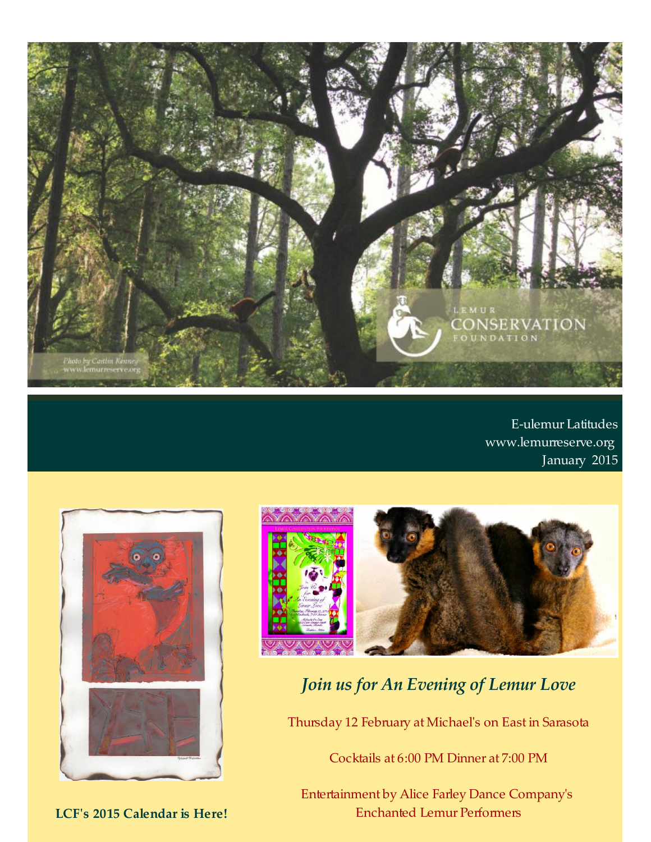

E-ulemur Latitudes [www.lemurreserve.org](http://www.lemurreserve.org) January 2015





# *Join us for An Evening of Lemur Love*

Thursday 12 February at Michael's on East in Sarasota

Cocktails at 6:00 PM Dinner at 7:00 PM

Entertainment by Alice Farley Dance Company's Enchanted Lemur Performers

**LCF's 2015 Calendar is Here!**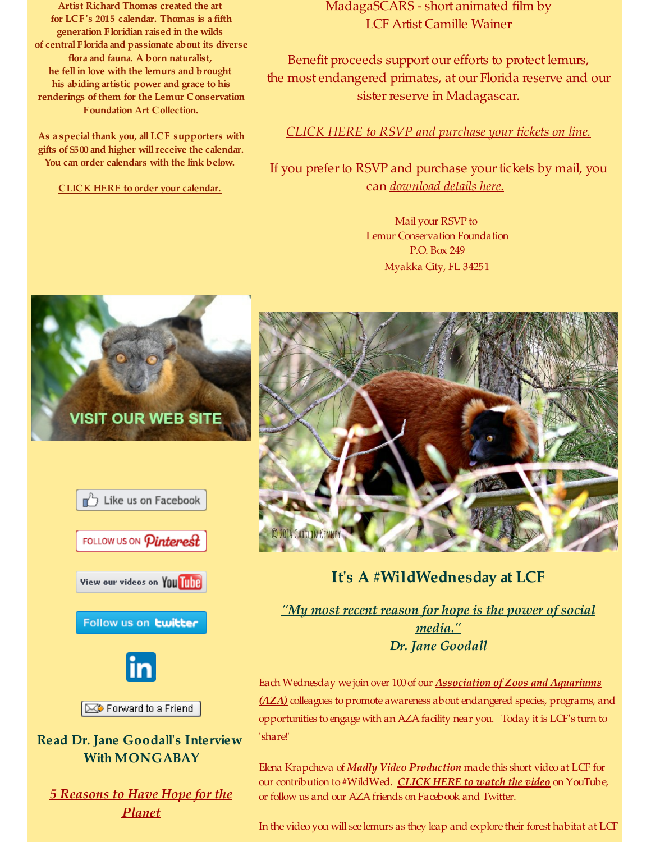**Artist Richard Thomas created the art for LCF's 2015 calendar. Thomas is afifth generation Floridian raised in the wilds of central Floridaand passionate about its diverse floraand fauna. A born naturalist, he fell in love with the lemurs and brought his abiding artistic power and grace to his renderings of them for the Lemur Conservation Foundation Art Collection.**

**As aspecial thank you, all LCF supporters with gifts of \$500and higher willreceive the calendar. You can order calendars with the link below.**

**CLICK HERE to order your [calendar.](http://r20.rs6.net/tn.jsp?f=001Z7JmwBp1kT6OKEeB6br5FSU200upy9eYQ_99Rs3uD9nwuVX7BwE-dtNRUXRG47dCQ-pFc5AffBejZDEZ4ONg8vGK3ueWgAkrELkfPSddjibyWB4-0cCKY1X2HgU5hFcnk7jYzbwbYCGtG5-EHM8MJuYsXQ1zmvT51FVWY0Q8LGCTwWRbkwKAedjeSBUWi_UYYU7FPcTzViKl7SKj537SL8Jkg9Lx0IjS01ni4eJ2zMRqukCibq9zFV87PBnIkmnXqiA65g6ZtgU=&c=&ch=)**

MadagaSCARS - short animated film by LCF Artist Camille Wainer

Benefit proceeds support our efforts to protect lemurs, the most endangered primates, at our Florida reserve and our sister reserve in Madagascar.

*CLICK HERE to RSVP and [purchase](http://r20.rs6.net/tn.jsp?f=001Z7JmwBp1kT6OKEeB6br5FSU200upy9eYQ_99Rs3uD9nwuVX7BwE-di91typhimMVKeia6hanpVPUwUUiH2OVxd4zYVZs8GEl8lbQdZneGQ4fhfbd1Xey6mdgWM2t9BN9w1L8XPfx67d9owZk1SWYSKNgHOkJVDuppo-bKQ5R-9kxfzgeIIXzlT_I8ljUVbQUjzpeA_Mf8dxqN6jsvSv-gK5pURxMYljiY0YZJ3mrZOLm_2Tx6MdVWXippdc46-qwAryySYoZxEaHGu05JmVMug==&c=&ch=) your tickets on line.*

If you prefer to RSVP and purchase your tickets by mail, you can *[download](http://r20.rs6.net/tn.jsp?f=001Z7JmwBp1kT6OKEeB6br5FSU200upy9eYQ_99Rs3uD9nwuVX7BwE-di91typhimMVkWGnw8kWg9Ly8l84Inx-BlF5_ZV0yPxb79zH_n6uOtOZM1tnGF5UgAsAMefmbh0Dc4ObqU9IMtBiveTrg0X-rr7rCYwe7nQpn-0xGanNhg2l2N-94vA_IOSZb8cT5RxtCFVAxRtpFYH-q0BWWVnUFSEYKq1d9AOz8ZuCgAgAcD9KfxJr0LwiIg==&c=&ch=) details here.*

> Mail your RSVP to Lemur Conservation Foundation P.O. Box 249 Myakka City, FL 34251





### **Read Dr. Jane Goodall's Interview With MONGABAY**

*5 [Reasons](http://r20.rs6.net/tn.jsp?f=001Z7JmwBp1kT6OKEeB6br5FSU200upy9eYQ_99Rs3uD9nwuVX7BwE-di91typhimMV0osiaAf4FwGUrgPI3V5DRqC-YRif_95tq2DfXWCmK59KAEcbi1qdoY6OMh2Mw0mH6_OKdD7d8fsH5dZRGvYcBpcnXfbve_My94U6wMioQZtZuPWAFhFuQ03UWzfvCH4hkAdlOAmFODzwHVOgewWdrGZ5O-PUaZni&c=&ch=) to Have Hope for the Planet*



# **It's A #WildWednesday at LCF**

*"My most recent reason for hope is the power of social [media."](http://r20.rs6.net/tn.jsp?f=001Z7JmwBp1kT6OKEeB6br5FSU200upy9eYQ_99Rs3uD9nwuVX7BwE-di91typhimMV0osiaAf4FwGUrgPI3V5DRqC-YRif_95tq2DfXWCmK59KAEcbi1qdoY6OMh2Mw0mH6_OKdD7d8fsH5dZRGvYcBpcnXfbve_My94U6wMioQZtZuPWAFhFuQ03UWzfvCH4hkAdlOAmFODzwHVOgewWdrGZ5O-PUaZni&c=&ch=) Dr. Jane Goodall*

Each Wednesday we join over 100 of our **[Association](http://r20.rs6.net/tn.jsp?f=001Z7JmwBp1kT6OKEeB6br5FSU200upy9eYQ_99Rs3uD9nwuVX7BwE-di91typhimMVtHBfpVZVXu2e9FDAYf-I__d8BFfdtpD4jqKj-qn5-9JMezYJRqS9Fp2Z93qJBrV1FVOyebdbE6anPNXlD-E10w1cBKv_s2qGIZrHh8uueks=&c=&ch=) of Zoos and Aquariums** *(AZA)* colleagues to promote awareness about endangered species, programs, and opportunities to engage with an AZA facility near you. Today it is LCF's turn to 'share!'

Elena Krapcheva of *Madly Video [Production](http://r20.rs6.net/tn.jsp?f=001Z7JmwBp1kT6OKEeB6br5FSU200upy9eYQ_99Rs3uD9nwuVX7BwE-di91typhimMVNghhk1aTJm0La6o6Odo4pEcmzOsktX6rmvtZ4GPEYM1JkHAPjmdOS-I_eETEL4EXV7iftSy9S0Xv7KeTq87RNUHc7uyYh2Sh&c=&ch=)* made this short video at LCF for our contribution to #WildWed. *[CLICK](http://r20.rs6.net/tn.jsp?f=001Z7JmwBp1kT6OKEeB6br5FSU200upy9eYQ_99Rs3uD9nwuVX7BwE-di91typhimMV9wNaBokhK_bH14J7TxJVmtQtk2UZrbBk6jA2c4I8Y6FSm09VXm14Dza4Daqitu0LSUPcR_E0PuGK6wB2sXdYM_c_zwZFfC2ul-jXnb0NTkHWUfnjvo7n3g==&c=&ch=) HERE to watch the video* on YouTube, or follow us and our AZAfriends on Facebook and Twitter.

In the video you will see lemurs as they leap and explore their forest habitat at LCF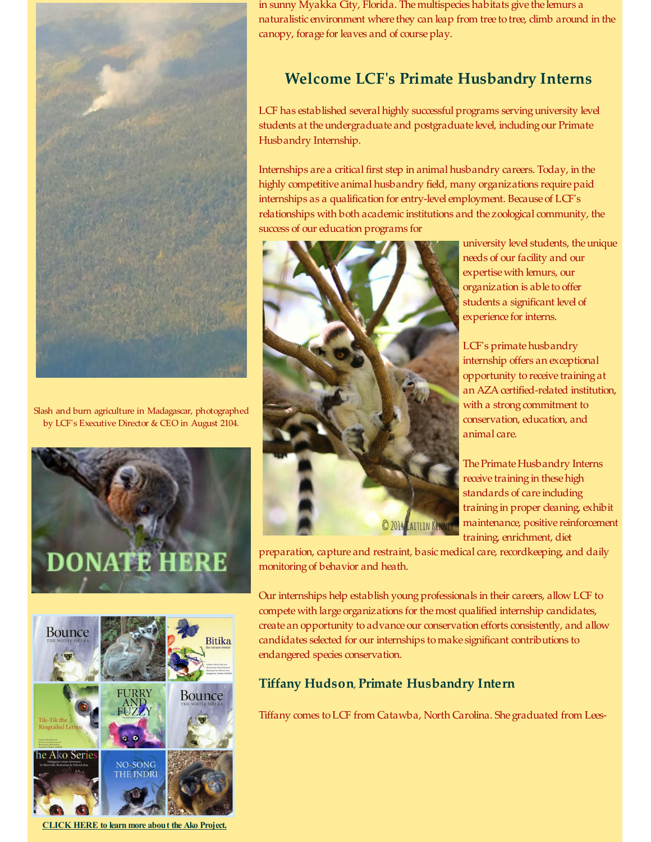

Slash and burn agriculture in Madagascar, photographed by LCF's Executive Director & CEO in August 2104.





**[CLICK](http://r20.rs6.net/tn.jsp?f=001Z7JmwBp1kT6OKEeB6br5FSU200upy9eYQ_99Rs3uD9nwuVX7BwE-diKgV_pOQArD89fNmv942rsT6VpYYGm8weaX6rdYh4Oda8VZNqLIu-qf5EM25WbS86lLZrxgoeRRkWDfEinQQ2bAUXwfrqgtxC_uSz-hZslYN5URol1pQVXWdgtnyYwOMtpT7zs6tTev_VBwjwbheNo=&c=&ch=) HERE to learn more about the Ako Project.**

in sunny Myakka City, Florida. Themultispecies habitats give the lemurs a naturalistic environment where they can leap from tree to tree, climb around in the canopy, forage for leaves and of course play.

## **Welcome LCF's Primate Husbandry Interns**

LCF has established several highly successful programs serving university level students at the undergraduate and postgraduate level, including our Primate Husbandry Internship.

Internships are a critical first step in animal husbandry careers. Today, in the highly competitive animal husbandry field, many organizations require paid internships as a qualification for entry-level employment. Because of LCF's relationships with both academic institutions and the zoological community, the success of our education programs for



university level students, the unique needs of our facility and our expertise with lemurs, our organization is able to offer students a significant level of experience for interns.

LCF's primate husbandry internship offers an exceptional opportunity to receive training at an AZA certified-related institution, with a strong commitment to conservation, education, and animal care.

The Primate Husbandry Interns receive training in these high standards of care including training in proper cleaning, exhibit maintenance, positive reinforcement training, enrichment, diet

preparation, capture and restraint, basic medical care, recordkeeping, and daily monitoring of behavior and heath.

Our internships help establish young professionals in their careers, allow LCF to compete with large organizations for themost qualified internship candidates, create an opportunity to advance our conservation efforts consistently, and allow candidates selected for our internships to make significant contributions to endangered species conservation.

#### **Tiffany Hudson**, **Primate Husbandry Intern**

Tiffany comes toLCF from Catawba, North Carolina. She graduated from Lees-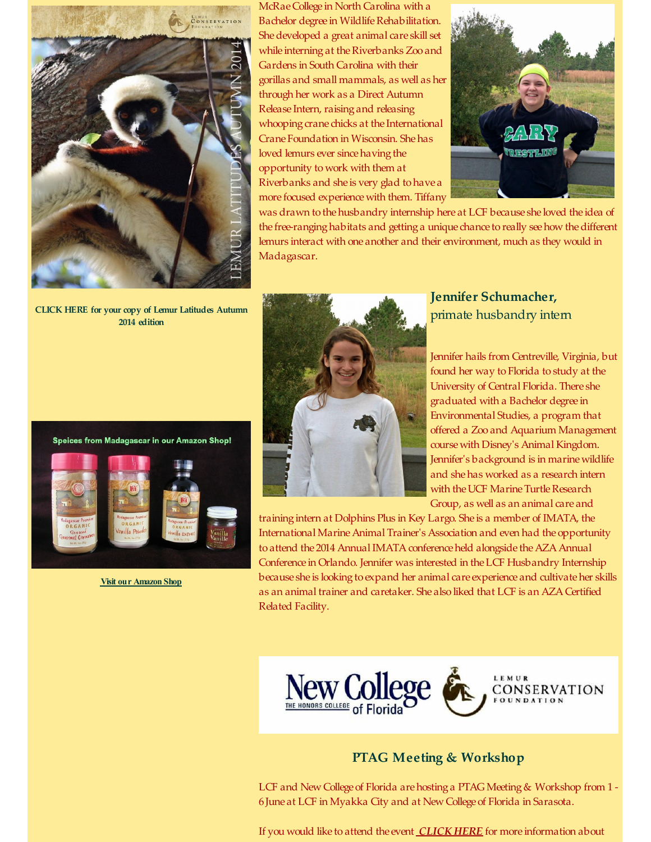

McRaeCollege in North Carolina with a Bachelor degree in Wildlife Rehabilitation. Shedeveloped a great animal care skill set while interning at the Riverbanks Zoo and Gardens in South Carolina with their gorillas and small mammals, as well as her through her work as a Direct Autumn Release Intern, raising and releasing whooping crane chicks at the International Crane Foundation in Wisconsin. Shehas loved lemurs ever since having the opportunity to work with them at Riverbanks and she is very glad to have a more focused experience with them. Tiffany



was drawn to the husbandry internship here at LCF because she loved the idea of the free-ranging habitats and getting a unique chance to really see how the different lemurs interact with one another and their environment, much as they would in Madagascar.

**CLICK HERE for your copy of Lemur [Latitudes](http://r20.rs6.net/tn.jsp?f=001Z7JmwBp1kT6OKEeB6br5FSU200upy9eYQ_99Rs3uD9nwuVX7BwE-dtNRUXRG47dCoE8_734EX1Uafa3jJmT-inI_3dC67B1DV2ZU0cDIediG4MEltDiVkC3_JHPYVkKePdN_NRJ0ZS96S8m9ZBgyPNNf7oClX5ZZpjDeigMbXFRE-BiAJhbWHsjn4ee4X6yuum5LOq3KWOv256mHdBBIyUCIxF9k0-6OgbQWiBtQTEb8cYkHC9yAKg==&c=&ch=) Autumn 2014 edition**





**Visit our [Amazon](http://r20.rs6.net/tn.jsp?f=001Z7JmwBp1kT6OKEeB6br5FSU200upy9eYQ_99Rs3uD9nwuVX7BwE-dvEB35iBvGc-iPxbWry_5zGHwGc-rK24989VVeX2md20cUBHKvvqy-lkl3uJLD97PQreNKolJy_h3RLfu_ZnZ-ahdRTjirLYODir15MAi9N3Plg5biY2XB6_KeOD9sCjjld9YjP3ktx8FvCQe2i6MrU=&c=&ch=) Shop**



**Jennifer Schumacher,** primate husbandry intern

Jennifer hails from Centreville, Virginia, but found her way to Florida to study at the University of Central Florida. There she graduated with a Bachelor degree in Environmental Studies, a program that offered a Zoo and Aquarium Management course with Disney's Animal Kingdom. Jennifer's background is in marine wildlife and shehas worked as a research intern with the UCF Marine Turtle Research Group, as well as an animal care and

training intern at Dolphins Plus in Key Largo. She is a member of IMATA, the International MarineAnimal Trainer's Association and even had the opportunity to attend the 2014 Annual IMATA conference held alongside the AZA Annual Conference in Orlando. Jennifer was interested in theLCF Husbandry Internship because she is looking to expand her animal care experience and cultivateher skills as an animal trainer and caretaker. She also liked that LCF is an AZACertified Related Facility.



#### **PTAG Meeting & Workshop**

LCF and New College of Florida are hosting a PTAG Meeting & Workshop from 1 -6June at LCF in Myakka City and at New College of Florida in Sarasota.

If you would like to attend the event *[CLICK](http://r20.rs6.net/tn.jsp?f=001Z7JmwBp1kT6OKEeB6br5FSU200upy9eYQ_99Rs3uD9nwuVX7BwE-di91typhimMVzk8r046mexUa0uPEcsIrDSFBXMvMjIkh7-mnOKMpNzTAUYVKympELTK1shV8JuooaPWmzaH0xVimr-5F55SbuV6wIJba1qII5hDqm2IRgydYatZQmQINg44sS2UjrUpPizDvNaRSnS8QY77v8RvKPwv0Q85N1bB89Bm_gp3QLq_BR_PQdjS7BA==&c=&ch=) HERE* for more information about